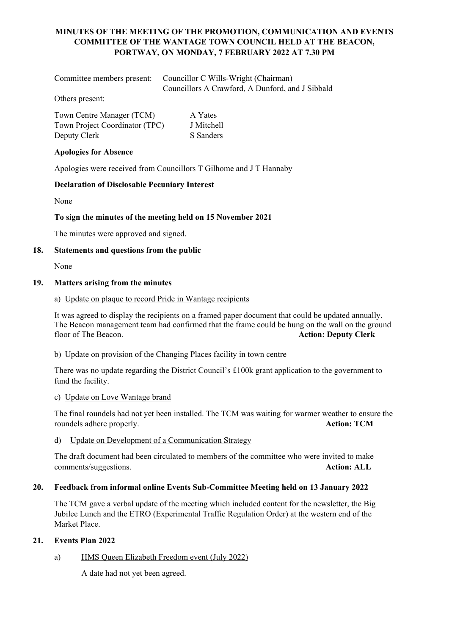# **MINUTES OF THE MEETING OF THE PROMOTION, COMMUNICATION AND EVENTS COMMITTEE OF THE WANTAGE TOWN COUNCIL HELD AT THE BEACON, PORTWAY, ON MONDAY, 7 FEBRUARY 2022 AT 7.30 PM**

| Committee members present: Councillor C Wills-Wright (Chairman) |  |
|-----------------------------------------------------------------|--|
| Councillors A Crawford, A Dunford, and J Sibbald                |  |

Others present:

| Town Centre Manager (TCM)      | A Yates    |
|--------------------------------|------------|
| Town Project Coordinator (TPC) | J Mitchell |
| Deputy Clerk                   | S Sanders  |

## **Apologies for Absence**

Apologies were received from Councillors T Gilhome and J T Hannaby

## **Declaration of Disclosable Pecuniary Interest**

None

## **To sign the minutes of the meeting held on 15 November 2021**

The minutes were approved and signed.

## **18. Statements and questions from the public**

None

## **19. Matters arising from the minutes**

## a) Update on plaque to record Pride in Wantage recipients

It was agreed to display the recipients on a framed paper document that could be updated annually. The Beacon management team had confirmed that the frame could be hung on the wall on the ground<br>floor of The Beacon.<br>**Action:** Deputy Clerk Action: Deputy Clerk

#### b) Update on provision of the Changing Places facility in town centre

There was no update regarding the District Council's £100k grant application to the government to fund the facility.

# c) Update on Love Wantage brand

The final roundels had not yet been installed. The TCM was waiting for warmer weather to ensure the roundels adhere properly. **Action: TCM**

d) Update on Development of a Communication Strategy

The draft document had been circulated to members of the committee who were invited to make comments/suggestions. **Action: ALL**

#### **20. Feedback from informal online Events Sub-Committee Meeting held on 13 January 2022**

The TCM gave a verbal update of the meeting which included content for the newsletter, the Big Jubilee Lunch and the ETRO (Experimental Traffic Regulation Order) at the western end of the Market Place.

# **21. Events Plan 2022**

# a) HMS Queen Elizabeth Freedom event (July 2022)

A date had not yet been agreed.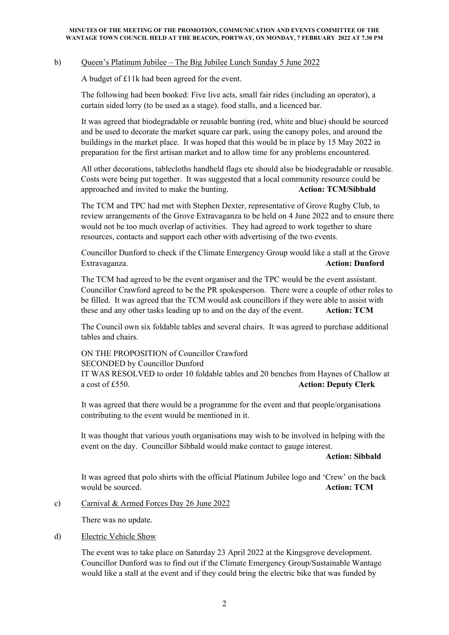#### b) Queen's Platinum Jubilee – The Big Jubilee Lunch Sunday 5 June 2022

A budget of £11k had been agreed for the event.

The following had been booked: Five live acts, small fair rides (including an operator), a curtain sided lorry (to be used as a stage). food stalls, and a licenced bar.

It was agreed that biodegradable or reusable bunting (red, white and blue) should be sourced and be used to decorate the market square car park, using the canopy poles, and around the buildings in the market place. It was hoped that this would be in place by 15 May 2022 in preparation for the first artisan market and to allow time for any problems encountered.

All other decorations, tablecloths handheld flags etc should also be biodegradable or reusable. Costs were being put together. It was suggested that a local community resource could be approached and invited to make the bunting. **Action: TCM/Sibbald**

The TCM and TPC had met with Stephen Dexter, representative of Grove Rugby Club, to review arrangements of the Grove Extravaganza to be held on 4 June 2022 and to ensure there would not be too much overlap of activities. They had agreed to work together to share resources, contacts and support each other with advertising of the two events.

Councillor Dunford to check if the Climate Emergency Group would like a stall at the Grove Extravaganza. **Action: Dunford**

The TCM had agreed to be the event organiser and the TPC would be the event assistant. Councillor Crawford agreed to be the PR spokesperson. There were a couple of other roles to be filled. It was agreed that the TCM would ask councillors if they were able to assist with these and any other tasks leading up to and on the day of the event. **Action: TCM**

The Council own six foldable tables and several chairs. It was agreed to purchase additional tables and chairs.

ON THE PROPOSITION of Councillor Crawford SECONDED by Councillor Dunford IT WAS RESOLVED to order 10 foldable tables and 20 benches from Haynes of Challow at a cost of £550. **Action: Deputy Clerk**

It was agreed that there would be a programme for the event and that people/organisations contributing to the event would be mentioned in it.

It was thought that various youth organisations may wish to be involved in helping with the event on the day. Councillor Sibbald would make contact to gauge interest.

**Action: Sibbald**

It was agreed that polo shirts with the official Platinum Jubilee logo and 'Crew' on the back would be sourced. **Action: TCM**

#### c) Carnival & Armed Forces Day 26 June 2022

There was no update.

#### d) Electric Vehicle Show

The event was to take place on Saturday 23 April 2022 at the Kingsgrove development. Councillor Dunford was to find out if the Climate Emergency Group/Sustainable Wantage would like a stall at the event and if they could bring the electric bike that was funded by